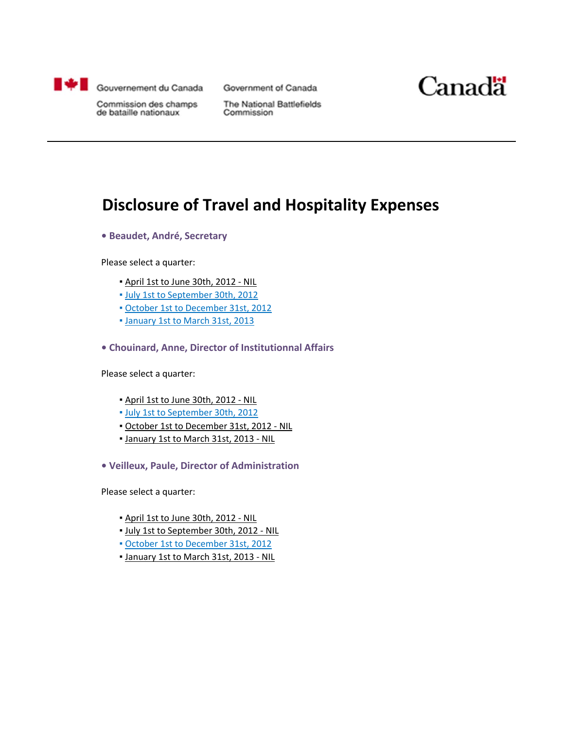

Government of Canada



Commission des champs de bataille nationaux

The National Battlefields Commission

#### **Disclosure of Travel and Hospitality Expenses**

**• Beaudet, André, Secretary**

Please select a quarter:

- April 1st to June 30th, 2012 ‐ NIL
- July 1st to [September](#page-1-0) 30th, 2012
- October 1st to [December](#page-14-0) 31st, 2012
- [January](#page-21-0) 1st to March 31st, 2013
- **• Chouinard, Anne, Director of Institutionnal Affairs**

Please select a quarter:

- April 1st to June 30th, 2012 ‐ NIL
- July 1st to [September](#page-12-0) 30th, 2012
- October 1st to December 31st, 2012 ‐ NIL
- January 1st to March 31st, 2013 ‐ NIL
- **• Veilleux, Paule, Director of Administration**

Please select a quarter:

- April 1st to June 30th, 2012 ‐ NIL
- July 1st to September 30th, 2012 ‐ NIL
- October 1st to [December](#page-19-0) 31st, 2012
- January 1st to March 31st, 2013 ‐ NIL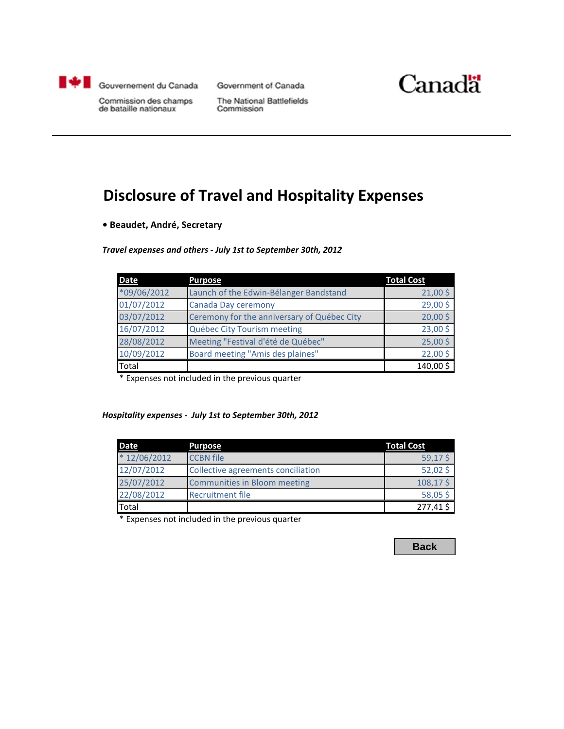<span id="page-1-0"></span>

Government of Canada



Commission des champs<br>de bataille nationaux

**The National Battlefields** Commission

# **Disclosure of Travel and Hospitality Expenses**

**• Beaudet, André, Secretary**

#### *Travel expenses and others - July 1st to September 30th, 2012*

| <b>Date</b>   | <b>Purpose</b>                              | <b>Total Cost</b> |
|---------------|---------------------------------------------|-------------------|
| $*09/06/2012$ | Launch of the Edwin-Bélanger Bandstand      | $21,00$ \$        |
| 01/07/2012    | Canada Day ceremony                         | 29,00\$           |
| 03/07/2012    | Ceremony for the anniversary of Québec City | 20,005            |
| 16/07/2012    | Québec City Tourism meeting                 | 23,00\$           |
| 28/08/2012    | Meeting "Festival d'été de Québec"          | 25,00\$           |
| 10/09/2012    | Board meeting "Amis des plaines"            | 22,00\$           |
| Total         |                                             | 140,00\$          |

\* Expenses not included in the previous quarter

#### *Hospitality expenses - July 1st to September 30th, 2012*

| <b>Date</b>   | <b>Purpose</b>                      | <b>Total Cost</b> |
|---------------|-------------------------------------|-------------------|
| $*12/06/2012$ | <b>CCBN</b> file                    | 59,17\$           |
| 12/07/2012    | Collective agreements conciliation  | $52,02$ \$        |
| 25/07/2012    | <b>Communities in Bloom meeting</b> | 108,17\$          |
| 22/08/2012    | <b>Recruitment file</b>             | 58,05\$           |
| Total         |                                     | 277,41            |

\* Expenses not included in the previous quarter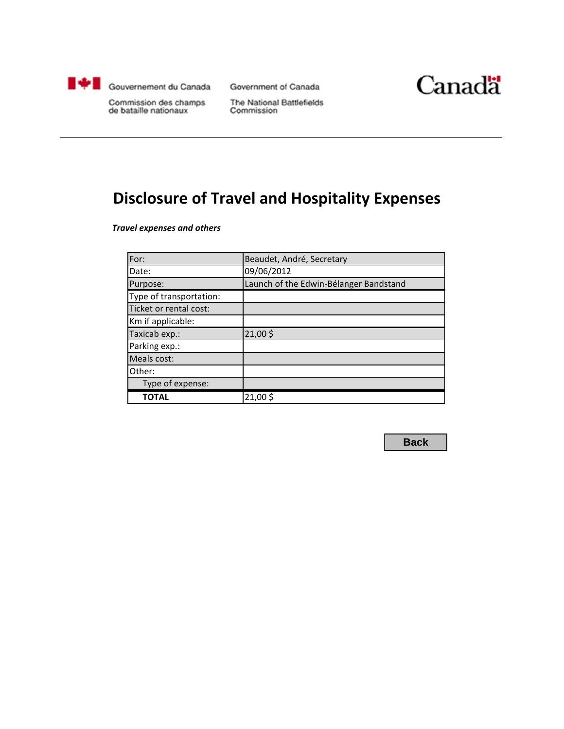<span id="page-2-0"></span>

Government of Canada



Commission des champs de bataille nationaux

The National Battlefields Commission

# **Disclosure of Travel and Hospitality Expenses**

*Travel expenses and others*

| For:                    | Beaudet, André, Secretary              |
|-------------------------|----------------------------------------|
| Date:                   | 09/06/2012                             |
| Purpose:                | Launch of the Edwin-Bélanger Bandstand |
| Type of transportation: |                                        |
| Ticket or rental cost:  |                                        |
| Km if applicable:       |                                        |
| Taxicab exp.:           | 21,00\$                                |
| Parking exp.:           |                                        |
| Meals cost:             |                                        |
| Other:                  |                                        |
| Type of expense:        |                                        |
| ΤΟΤΑL                   | 21,00\$                                |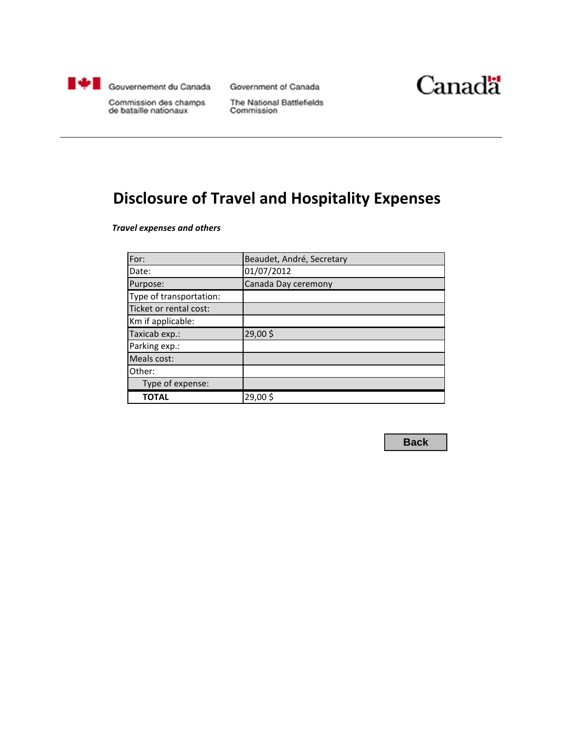<span id="page-3-0"></span>

Government of Canada



Commission des champs de bataille nationaux

The National Battlefields Commission

# **Disclosure of Travel and Hospitality Expenses**

*Travel expenses and others*

| For:                    | Beaudet, André, Secretary |
|-------------------------|---------------------------|
| Date:                   | 01/07/2012                |
| Purpose:                | Canada Day ceremony       |
| Type of transportation: |                           |
| Ticket or rental cost:  |                           |
| Km if applicable:       |                           |
| Taxicab exp.:           | 29,00\$                   |
| Parking exp.:           |                           |
| Meals cost:             |                           |
| Other:                  |                           |
| Type of expense:        |                           |
| ΤΟΤΑL                   | 29,00\$                   |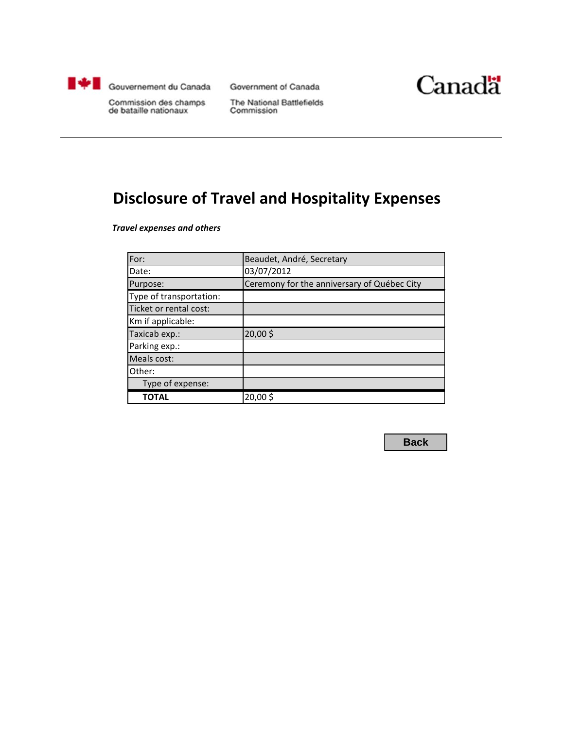<span id="page-4-0"></span>

Government of Canada



Commission des champs de bataille nationaux

The National Battlefields Commission

# **Disclosure of Travel and Hospitality Expenses**

*Travel expenses and others*

| For:                    | Beaudet, André, Secretary                   |
|-------------------------|---------------------------------------------|
| Date:                   | 03/07/2012                                  |
| Purpose:                | Ceremony for the anniversary of Québec City |
| Type of transportation: |                                             |
| Ticket or rental cost:  |                                             |
| Km if applicable:       |                                             |
| Taxicab exp.:           | 20,00\$                                     |
| Parking exp.:           |                                             |
| Meals cost:             |                                             |
| Other:                  |                                             |
| Type of expense:        |                                             |
| ΤΟΤΑL                   | 20,00\$                                     |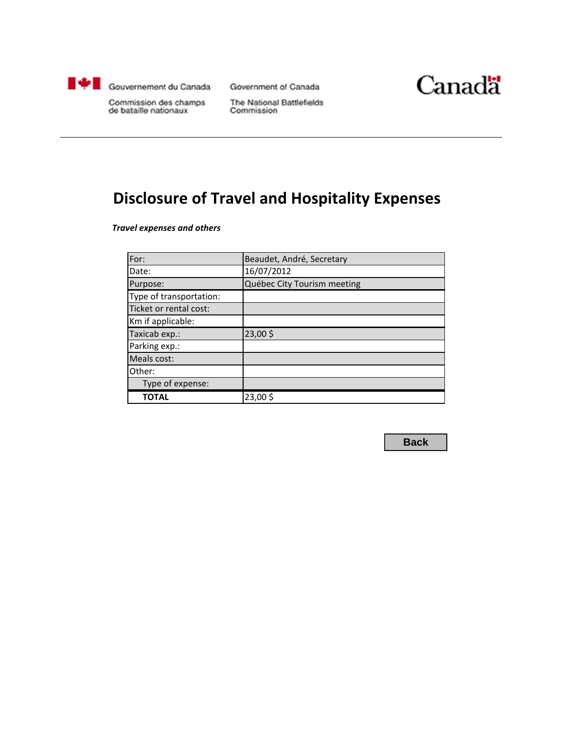<span id="page-5-0"></span>

Government of Canada



Commission des champs de bataille nationaux

The National Battlefields Commission

# **Disclosure of Travel and Hospitality Expenses**

*Travel expenses and others*

| For:                    | Beaudet, André, Secretary   |
|-------------------------|-----------------------------|
| Date:                   | 16/07/2012                  |
| Purpose:                | Québec City Tourism meeting |
| Type of transportation: |                             |
| Ticket or rental cost:  |                             |
| Km if applicable:       |                             |
| Taxicab exp.:           | 23,00\$                     |
| Parking exp.:           |                             |
| Meals cost:             |                             |
| Other:                  |                             |
| Type of expense:        |                             |
| ΤΟΤΑL                   | 23,00\$                     |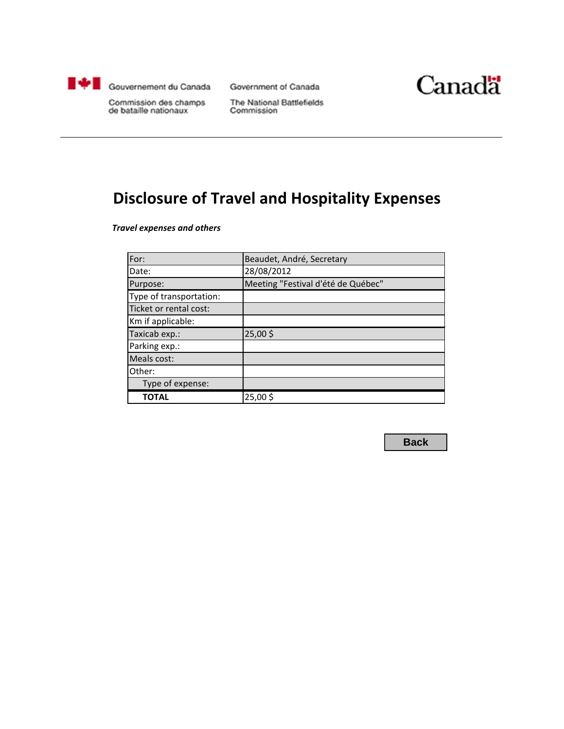<span id="page-6-0"></span>

Government of Canada



Commission des champs de bataille nationaux

The National Battlefields Commission

# **Disclosure of Travel and Hospitality Expenses**

*Travel expenses and others*

| For:                    | Beaudet, André, Secretary          |
|-------------------------|------------------------------------|
| Date:                   | 28/08/2012                         |
| Purpose:                | Meeting "Festival d'été de Québec" |
| Type of transportation: |                                    |
| Ticket or rental cost:  |                                    |
| Km if applicable:       |                                    |
| Taxicab exp.:           | 25,00\$                            |
| Parking exp.:           |                                    |
| Meals cost:             |                                    |
| Other:                  |                                    |
| Type of expense:        |                                    |
| ΤΟΤΑL                   | 25,00\$                            |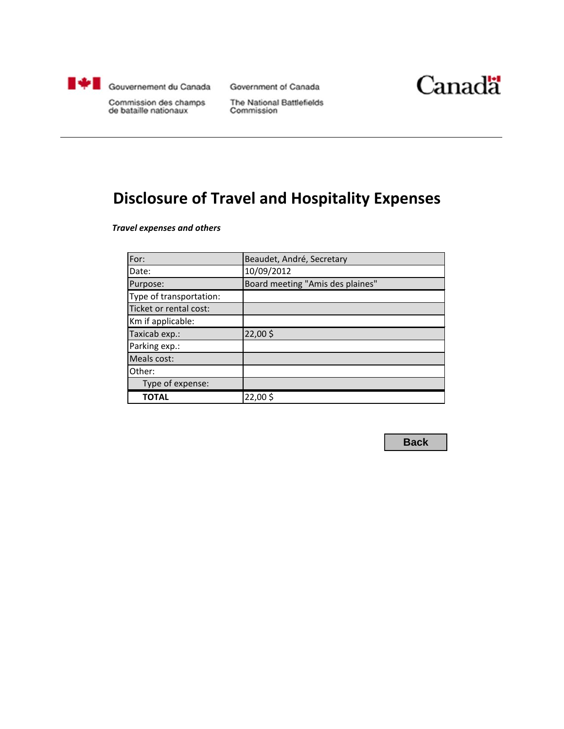<span id="page-7-0"></span>

Government of Canada



Commission des champs de bataille nationaux

The National Battlefields Commission

# **Disclosure of Travel and Hospitality Expenses**

*Travel expenses and others*

| For:                    | Beaudet, André, Secretary        |
|-------------------------|----------------------------------|
| Date:                   | 10/09/2012                       |
| Purpose:                | Board meeting "Amis des plaines" |
| Type of transportation: |                                  |
| Ticket or rental cost:  |                                  |
| Km if applicable:       |                                  |
| Taxicab exp.:           | 22,00\$                          |
| Parking exp.:           |                                  |
| Meals cost:             |                                  |
| Other:                  |                                  |
| Type of expense:        |                                  |
| <b>TOTAL</b>            | 22,00\$                          |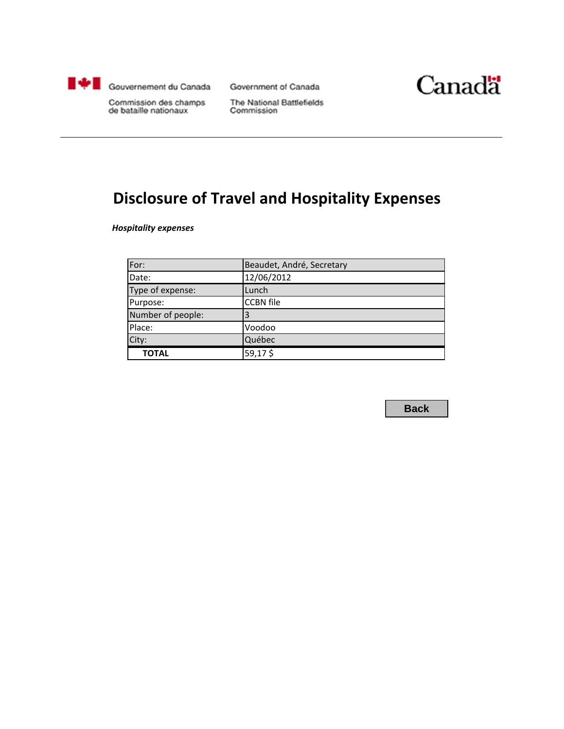<span id="page-8-0"></span>

Government of Canada



Commission des champs de bataille nationaux

The National Battlefields Commission

# **Disclosure of Travel and Hospitality Expenses**

*Hospitality expenses*

| For:              | Beaudet, André, Secretary |
|-------------------|---------------------------|
| Date:             | 12/06/2012                |
| Type of expense:  | Lunch                     |
| Purpose:          | <b>CCBN</b> file          |
| Number of people: |                           |
| Place:            | Voodoo                    |
| City:             | Québec                    |
| <b>TOTAL</b>      | 59,17\$                   |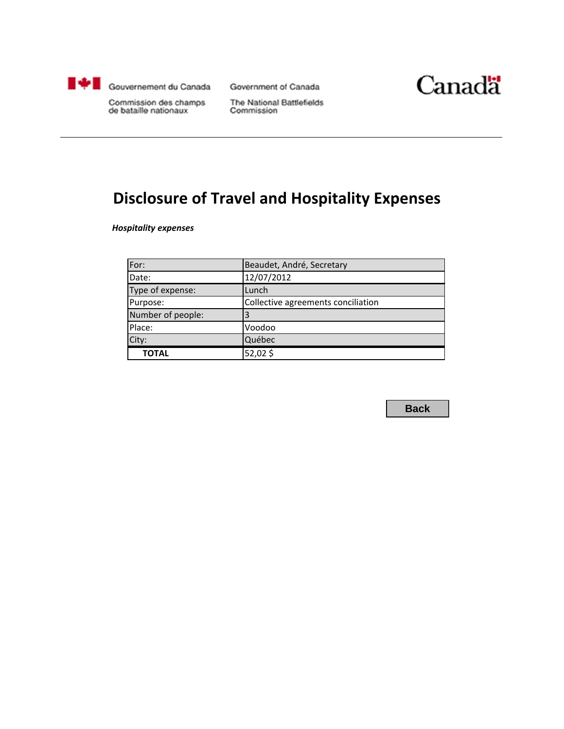<span id="page-9-0"></span>

Government of Canada



Commission des champs de bataille nationaux

The National Battlefields Commission

# **Disclosure of Travel and Hospitality Expenses**

*Hospitality expenses*

| For:              | Beaudet, André, Secretary          |
|-------------------|------------------------------------|
| Date:             | 12/07/2012                         |
| Type of expense:  | Lunch                              |
| Purpose:          | Collective agreements conciliation |
| Number of people: | 3                                  |
| Place:            | Voodoo                             |
| City:             | Québec                             |
| <b>TOTAL</b>      | 52,02\$                            |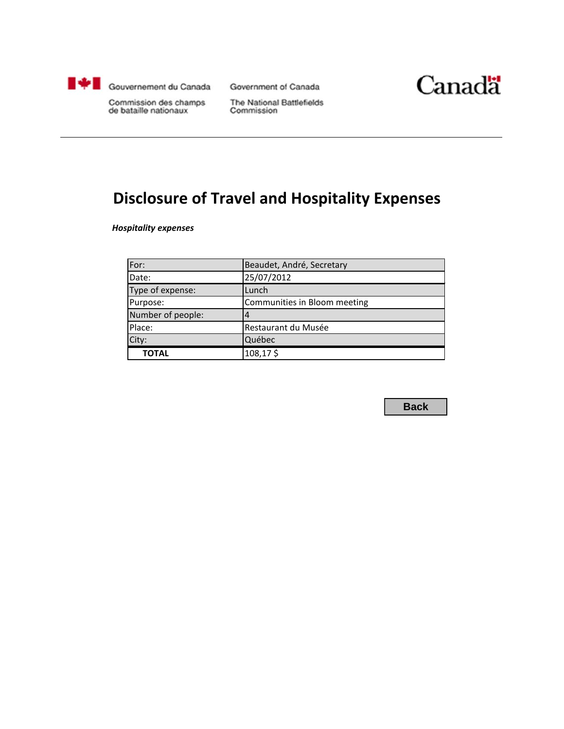<span id="page-10-0"></span>

Government of Canada



Commission des champs de bataille nationaux

The National Battlefields Commission

# **Disclosure of Travel and Hospitality Expenses**

*Hospitality expenses*

| For:              | Beaudet, André, Secretary    |
|-------------------|------------------------------|
| Date:             | 25/07/2012                   |
| Type of expense:  | Lunch                        |
| Purpose:          | Communities in Bloom meeting |
| Number of people: |                              |
| Place:            | Restaurant du Musée          |
| City:             | Québec                       |
| <b>TOTAL</b>      | 108,17\$                     |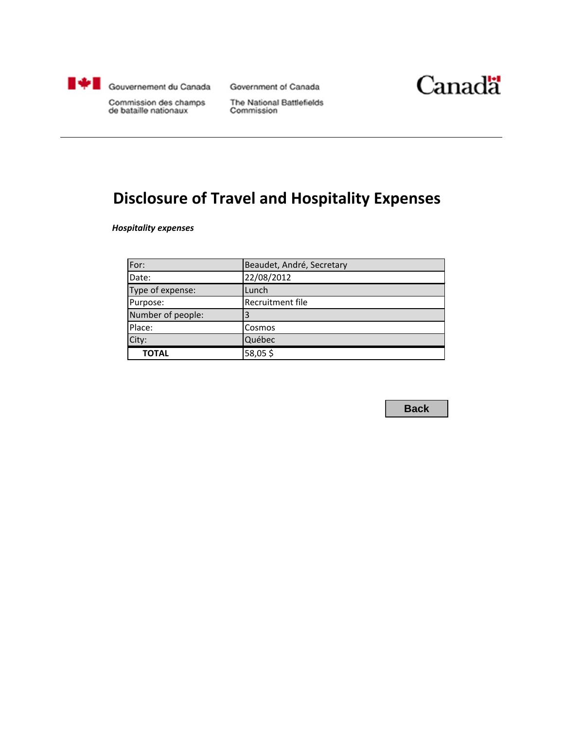<span id="page-11-0"></span>

Government of Canada



Commission des champs de bataille nationaux

The National Battlefields Commission

# **Disclosure of Travel and Hospitality Expenses**

*Hospitality expenses*

| For:              | Beaudet, André, Secretary |
|-------------------|---------------------------|
| Date:             | 22/08/2012                |
| Type of expense:  | Lunch                     |
| Purpose:          | Recruitment file          |
| Number of people: |                           |
| Place:            | Cosmos                    |
| City:             | Québec                    |
| <b>TOTAL</b>      | 58,05\$                   |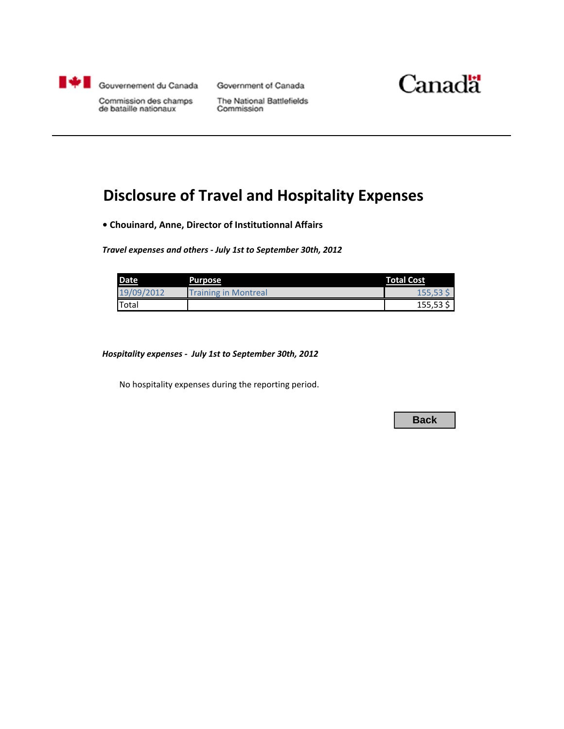<span id="page-12-0"></span>

Government of Canada



Commission des champs<br>de bataille nationaux

The National Battlefields Commission

# **Disclosure of Travel and Hospitality Expenses**

**• Chouinard, Anne, Director of Institutionnal Affairs**

*Travel expenses and others - July 1st to September 30th, 2012*

| <b>Date</b> | <b>Purpose</b>       | <b>Total Cost</b> |
|-------------|----------------------|-------------------|
| 19/09/2012  | Training in Montreal | 155,53            |
| Total       |                      | $155,53$ \$       |

*Hospitality expenses - July 1st to September 30th, 2012*

No hospitality expenses during the reporting period.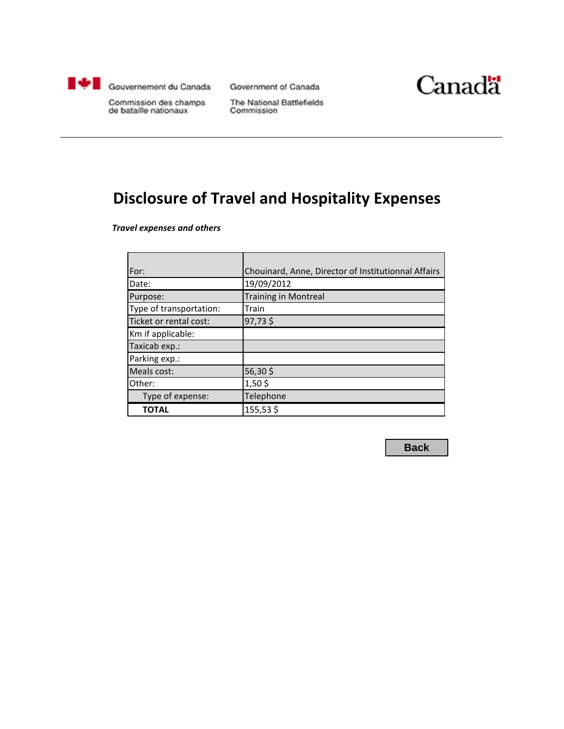<span id="page-13-0"></span>

Government of Canada



Commission des champs de bataille nationaux

The National Battlefields Commission

# **Disclosure of Travel and Hospitality Expenses**

*Travel expenses and others*

| For:                    | Chouinard, Anne, Director of Institutionnal Affairs |
|-------------------------|-----------------------------------------------------|
| Date:                   | 19/09/2012                                          |
| Purpose:                | <b>Training in Montreal</b>                         |
| Type of transportation: | Train                                               |
| Ticket or rental cost:  | 97,73\$                                             |
| Km if applicable:       |                                                     |
| Taxicab exp.:           |                                                     |
| Parking exp.:           |                                                     |
| Meals cost:             | 56,30\$                                             |
| Other:                  | $1,50$ \$                                           |
| Type of expense:        | Telephone                                           |
| <b>TOTAL</b>            | 155,53\$                                            |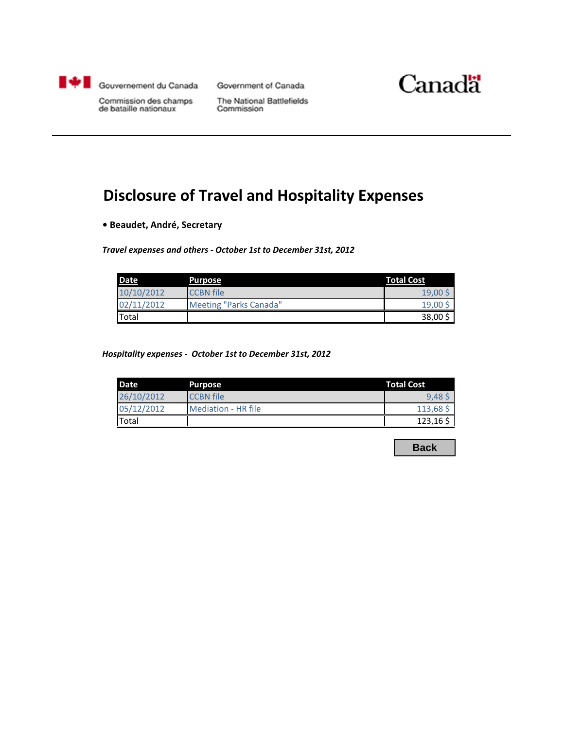<span id="page-14-0"></span>

Government of Canada



Commission des champs de bataille nationaux

The National Battlefields Commission

# **Disclosure of Travel and Hospitality Expenses**

**• Beaudet, André, Secretary**

*Travel expenses and others - October 1st to December 31st, 2012*

| <b>Date</b> | Purpose                | <b>Total Cost</b> |
|-------------|------------------------|-------------------|
| 10/10/2012  | <b>CCBN</b> file       | 19.00             |
| 02/11/2012  | Meeting "Parks Canada" | 19,00             |
| Total       |                        | 38,00             |

*Hospitality expenses - October 1st to December 31st, 2012*

| <b>Date</b> | Purpose             | <b>Total Cost</b> |
|-------------|---------------------|-------------------|
| 26/10/2012  | <b>CCBN</b> file    | 9.48:             |
| 05/12/2012  | Mediation - HR file | 113,68            |
| Total       |                     | 123,165           |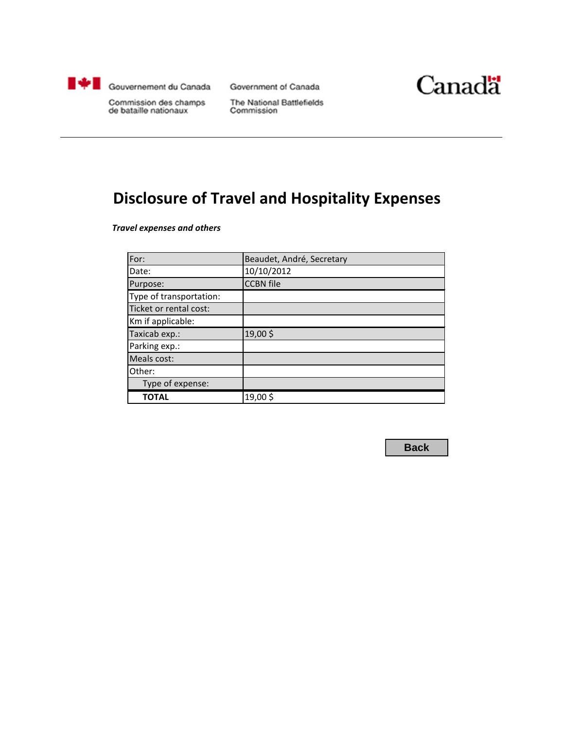<span id="page-15-0"></span>

Government of Canada



Commission des champs de bataille nationaux

The National Battlefields Commission

# **Disclosure of Travel and Hospitality Expenses**

*Travel expenses and others*

| For:                    | Beaudet, André, Secretary |
|-------------------------|---------------------------|
| Date:                   | 10/10/2012                |
| Purpose:                | <b>CCBN</b> file          |
| Type of transportation: |                           |
| Ticket or rental cost:  |                           |
| Km if applicable:       |                           |
| Taxicab exp.:           | 19,00\$                   |
| Parking exp.:           |                           |
| Meals cost:             |                           |
| Other:                  |                           |
| Type of expense:        |                           |
| TOTAL                   | 19,00\$                   |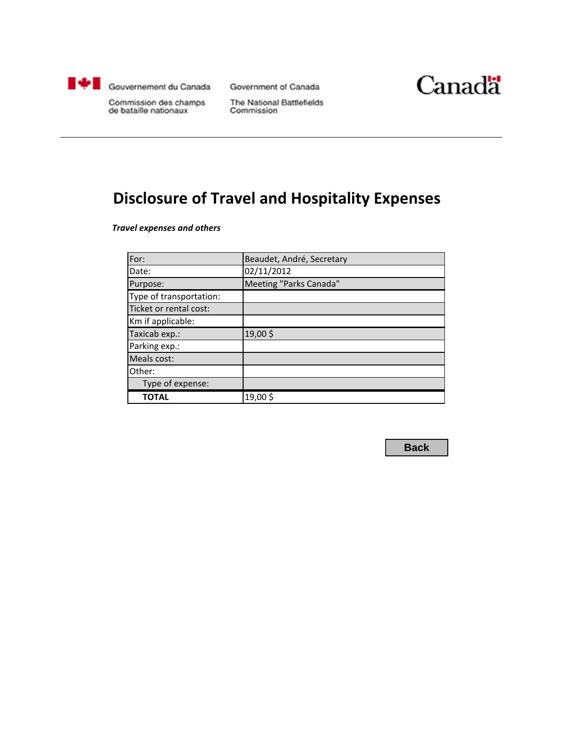<span id="page-16-0"></span>

Government of Canada



Commission des champs de bataille nationaux

The National Battlefields Commission

# **Disclosure of Travel and Hospitality Expenses**

*Travel expenses and others*

| For:                    | Beaudet, André, Secretary |
|-------------------------|---------------------------|
| Date:                   | 02/11/2012                |
| Purpose:                | Meeting "Parks Canada"    |
| Type of transportation: |                           |
| Ticket or rental cost:  |                           |
| Km if applicable:       |                           |
| Taxicab exp.:           | 19,00\$                   |
| Parking exp.:           |                           |
| Meals cost:             |                           |
| Other:                  |                           |
| Type of expense:        |                           |
| ΤΟΤΑL                   | 19,00\$                   |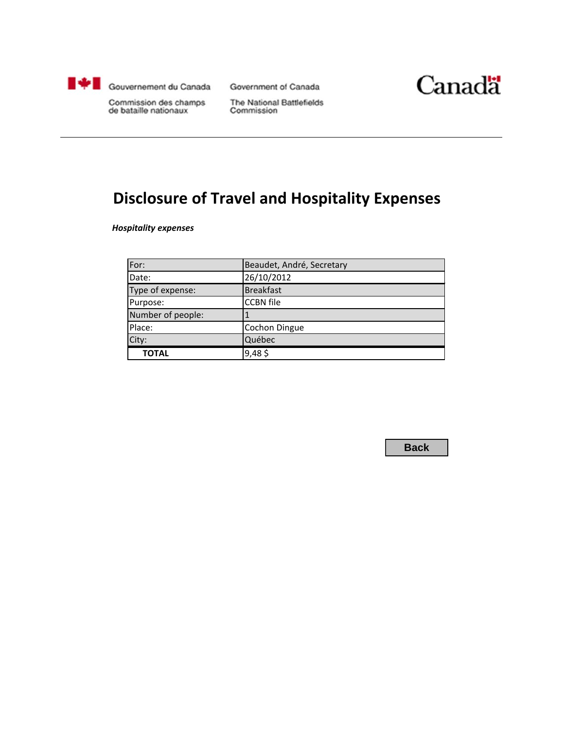<span id="page-17-0"></span>

Government of Canada



Commission des champs de bataille nationaux

The National Battlefields Commission

# **Disclosure of Travel and Hospitality Expenses**

*Hospitality expenses*

| For:              | Beaudet, André, Secretary |
|-------------------|---------------------------|
| Date:             | 26/10/2012                |
| Type of expense:  | <b>Breakfast</b>          |
| Purpose:          | <b>CCBN</b> file          |
| Number of people: |                           |
| Place:            | <b>Cochon Dingue</b>      |
| City:             | Québec                    |
| <b>TOTAL</b>      | $9,48$ \$                 |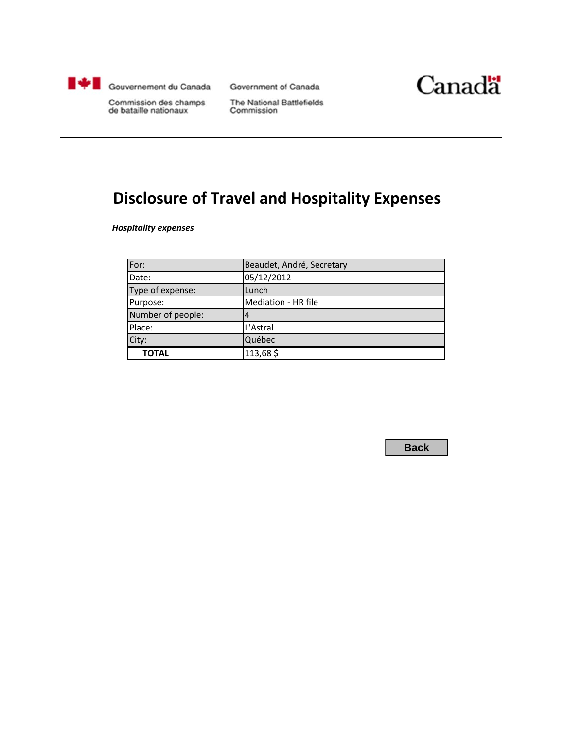<span id="page-18-0"></span>

Government of Canada



Commission des champs de bataille nationaux

The National Battlefields Commission

# **Disclosure of Travel and Hospitality Expenses**

*Hospitality expenses*

| For:              | Beaudet, André, Secretary |
|-------------------|---------------------------|
| Date:             | 05/12/2012                |
| Type of expense:  | Lunch                     |
| Purpose:          | Mediation - HR file       |
| Number of people: |                           |
| Place:            | L'Astral                  |
| City:             | Québec                    |
| <b>TOTAL</b>      | 113,68\$                  |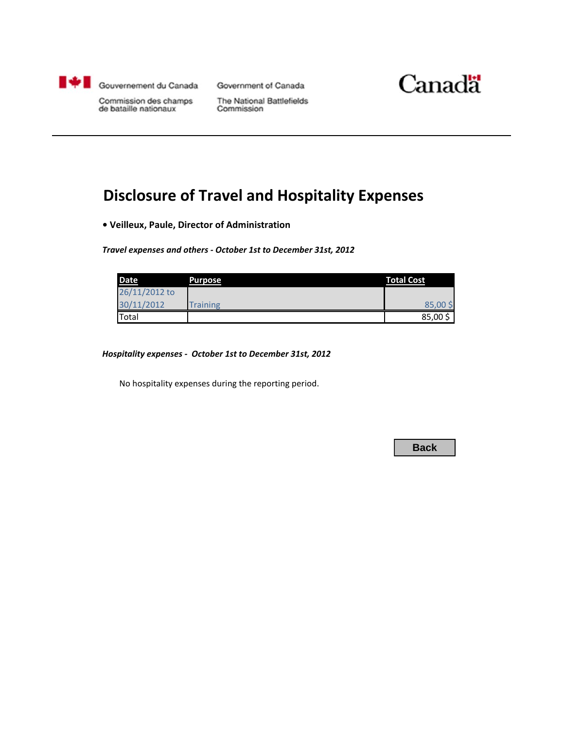<span id="page-19-0"></span>

Government of Canada



Commission des champs<br>de bataille nationaux

The National Battlefields Commission

# **Disclosure of Travel and Hospitality Expenses**

**• Veilleux, Paule, Director of Administration**

*Travel expenses and others - October 1st to December 31st, 2012*

| <b>Date</b>   | <b>Purpose</b>  | <b>Total Cost</b> |
|---------------|-----------------|-------------------|
| 26/11/2012 to |                 |                   |
| 30/11/2012    | <b>Training</b> | 85,00\$           |
| Total         |                 | 85,00             |

*Hospitality expenses - October 1st to December 31st, 2012*

No hospitality expenses during the reporting period.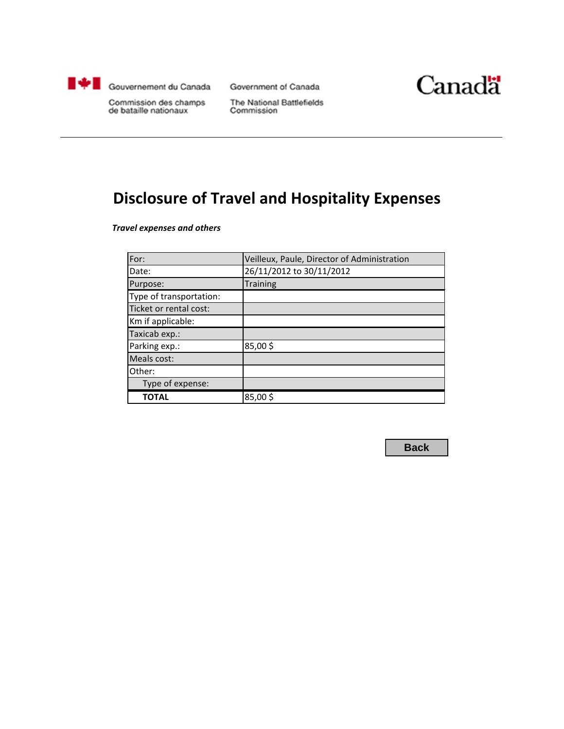<span id="page-20-0"></span>

Government of Canada



Commission des champs de bataille nationaux

The National Battlefields Commission

# **Disclosure of Travel and Hospitality Expenses**

*Travel expenses and others*

| For:                    | Veilleux, Paule, Director of Administration |
|-------------------------|---------------------------------------------|
| Date:                   | 26/11/2012 to 30/11/2012                    |
| Purpose:                | <b>Training</b>                             |
| Type of transportation: |                                             |
| Ticket or rental cost:  |                                             |
| Km if applicable:       |                                             |
| Taxicab exp.:           |                                             |
| Parking exp.:           | 85,00\$                                     |
| Meals cost:             |                                             |
| Other:                  |                                             |
| Type of expense:        |                                             |
| TOTAL                   | 85,00\$                                     |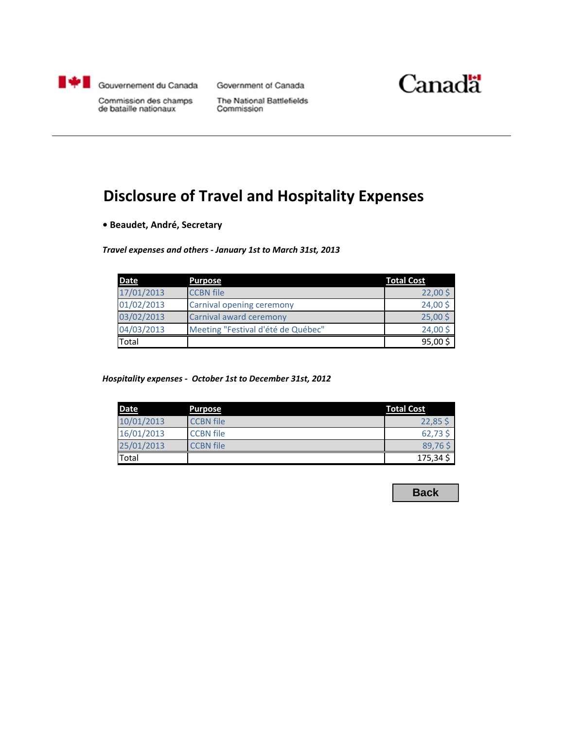<span id="page-21-0"></span>

Government of Canada



Commission des champs de bataille nationaux

The National Battlefields Commission

#### **Disclosure of Travel and Hospitality Expenses**

**• Beaudet, André, Secretary**

*Travel expenses and others ‐ January 1st to March 31st, 2013*

| <b>Date</b> | <b>Purpose</b>                     | <b>Total Cost</b> |
|-------------|------------------------------------|-------------------|
| 17/01/2013  | <b>CCBN</b> file                   | $22,00$ \$        |
| 01/02/2013  | <b>Carnival opening ceremony</b>   | 24,00\$           |
| 03/02/2013  | Carnival award ceremony            | $25,00\sqrt{5}$   |
| 04/03/2013  | Meeting "Festival d'été de Québec" | 24,00\$           |
| Total       |                                    | 95,00\$           |

*Hospitality expenses ‐ October 1st to December 31st, 2012*

| <b>Date</b> | Purpose          | <b>Total Cost</b> |
|-------------|------------------|-------------------|
| 10/01/2013  | <b>CCBN</b> file | $22,85$ \$        |
| 16/01/2013  | <b>CCBN</b> file | $62,73$ \$        |
| 25/01/2013  | <b>CCBN</b> file | 89,765            |
| Total       |                  | 175,34            |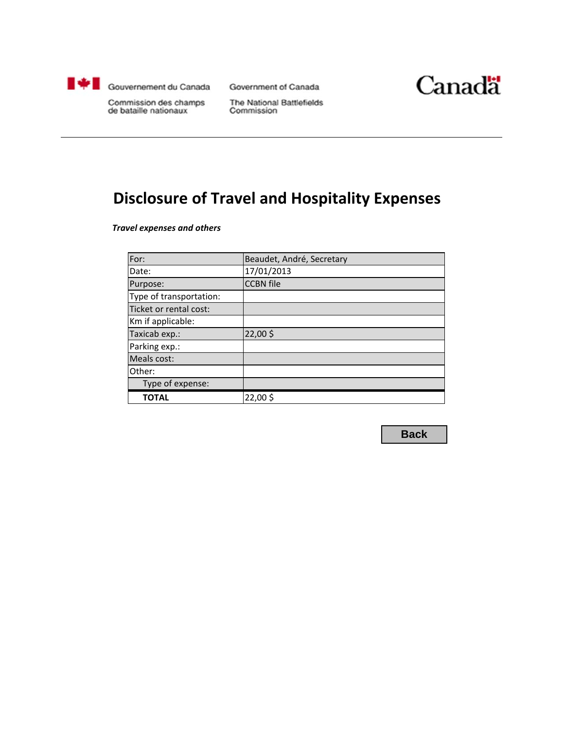<span id="page-22-0"></span>

Government of Canada



Commission des champs de bataille nationaux

The National Battlefields Commission

#### **Disclosure of Travel and Hospitality Expenses**

*Travel expenses and others*

| For:                    | Beaudet, André, Secretary |
|-------------------------|---------------------------|
| Date:                   | 17/01/2013                |
| Purpose:                | <b>CCBN</b> file          |
| Type of transportation: |                           |
| Ticket or rental cost:  |                           |
| Km if applicable:       |                           |
| Taxicab exp.:           | 22,00\$                   |
| Parking exp.:           |                           |
| Meals cost:             |                           |
| Other:                  |                           |
| Type of expense:        |                           |
| <b>TOTAL</b>            | 22,00\$                   |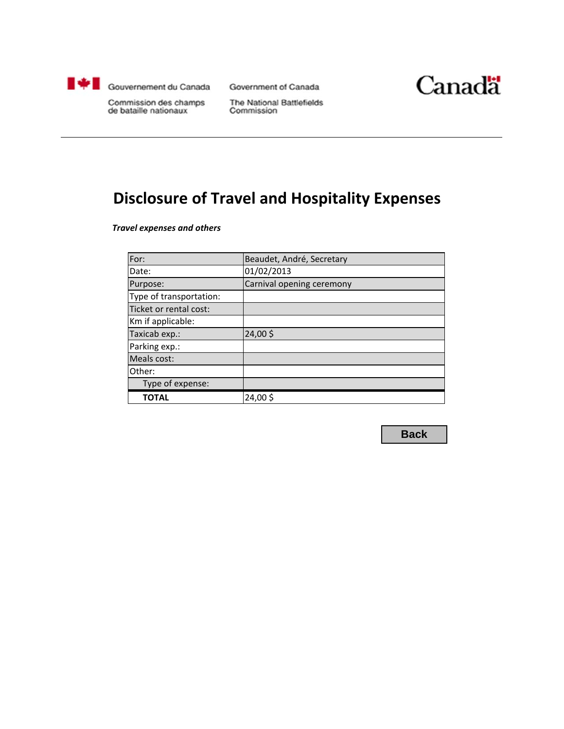<span id="page-23-0"></span>

Government of Canada



Commission des champs de bataille nationaux

The National Battlefields Commission

#### **Disclosure of Travel and Hospitality Expenses**

*Travel expenses and others*

| For:                    | Beaudet, André, Secretary |
|-------------------------|---------------------------|
| Date:                   | 01/02/2013                |
| Purpose:                | Carnival opening ceremony |
| Type of transportation: |                           |
| Ticket or rental cost:  |                           |
| Km if applicable:       |                           |
| Taxicab exp.:           | 24,00\$                   |
| Parking exp.:           |                           |
| Meals cost:             |                           |
| Other:                  |                           |
| Type of expense:        |                           |
| <b>TOTAL</b>            | 24,00\$                   |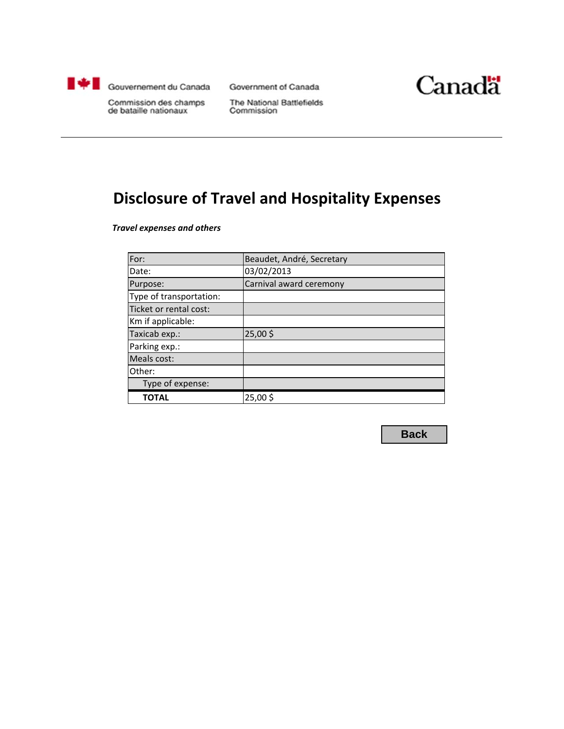<span id="page-24-0"></span>

Government of Canada



Commission des champs de bataille nationaux

The National Battlefields Commission

#### **Disclosure of Travel and Hospitality Expenses**

*Travel expenses and others*

| For:                    | Beaudet, André, Secretary |
|-------------------------|---------------------------|
| Date:                   | 03/02/2013                |
| Purpose:                | Carnival award ceremony   |
| Type of transportation: |                           |
| Ticket or rental cost:  |                           |
| Km if applicable:       |                           |
| Taxicab exp.:           | 25,00\$                   |
| Parking exp.:           |                           |
| Meals cost:             |                           |
| Other:                  |                           |
| Type of expense:        |                           |
| <b>TOTAL</b>            | 25,00\$                   |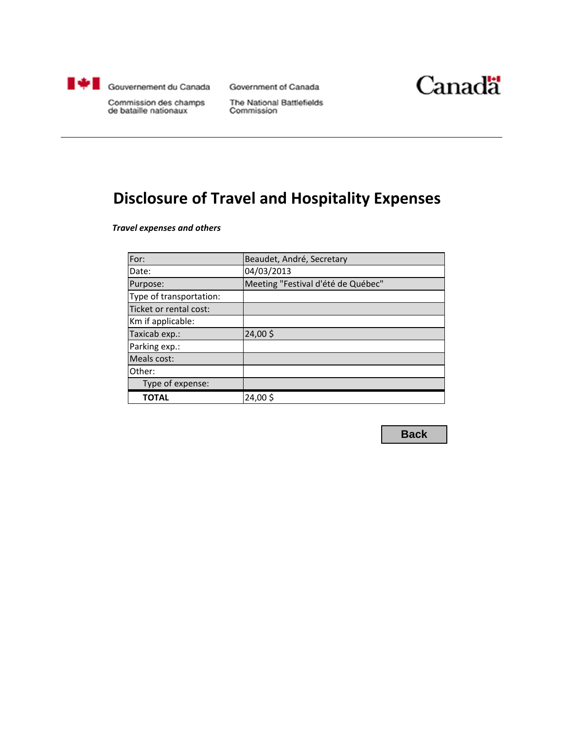<span id="page-25-0"></span>

Government of Canada



Commission des champs de bataille nationaux

The National Battlefields Commission

#### **Disclosure of Travel and Hospitality Expenses**

*Travel expenses and others*

| For:                    | Beaudet, André, Secretary          |
|-------------------------|------------------------------------|
| Date:                   | 04/03/2013                         |
| Purpose:                | Meeting "Festival d'été de Québec" |
| Type of transportation: |                                    |
| Ticket or rental cost:  |                                    |
| Km if applicable:       |                                    |
| Taxicab exp.:           | 24,00\$                            |
| Parking exp.:           |                                    |
| Meals cost:             |                                    |
| Other:                  |                                    |
| Type of expense:        |                                    |
| TOTAL                   | 24,00\$                            |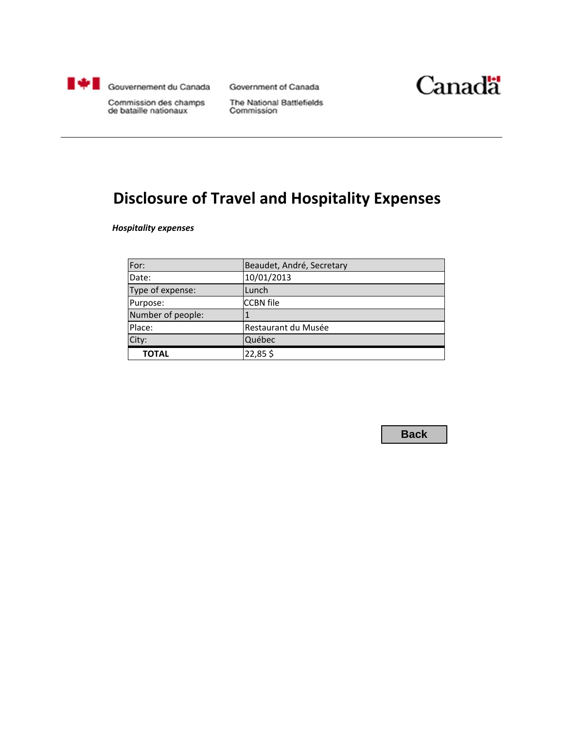<span id="page-26-0"></span>

Government of Canada



Commission des champs de bataille nationaux

The National Battlefields Commission

#### **Disclosure of Travel and Hospitality Expenses**

*Hospitality expenses*

| For:              | Beaudet, André, Secretary |
|-------------------|---------------------------|
| Date:             | 10/01/2013                |
| Type of expense:  | Lunch                     |
| Purpose:          | <b>CCBN</b> file          |
| Number of people: |                           |
| Place:            | Restaurant du Musée       |
| City:             | Québec                    |
| <b>TOTAL</b>      | 22,85\$                   |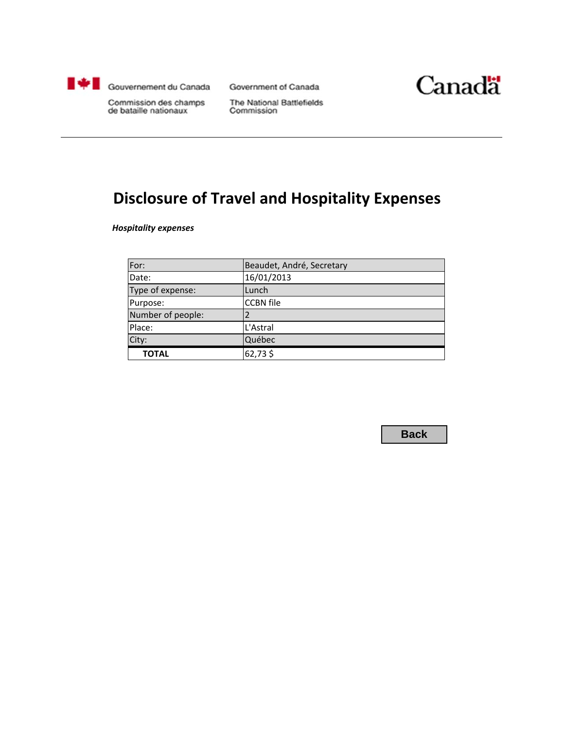<span id="page-27-0"></span>

Government of Canada



Commission des champs de bataille nationaux

The National Battlefields Commission

#### **Disclosure of Travel and Hospitality Expenses**

*Hospitality expenses*

| For:              | Beaudet, André, Secretary |
|-------------------|---------------------------|
| Date:             | 16/01/2013                |
| Type of expense:  | Lunch                     |
| Purpose:          | <b>CCBN</b> file          |
| Number of people: |                           |
| Place:            | L'Astral                  |
| City:             | Québec                    |
| <b>TOTAL</b>      | 62,73\$                   |